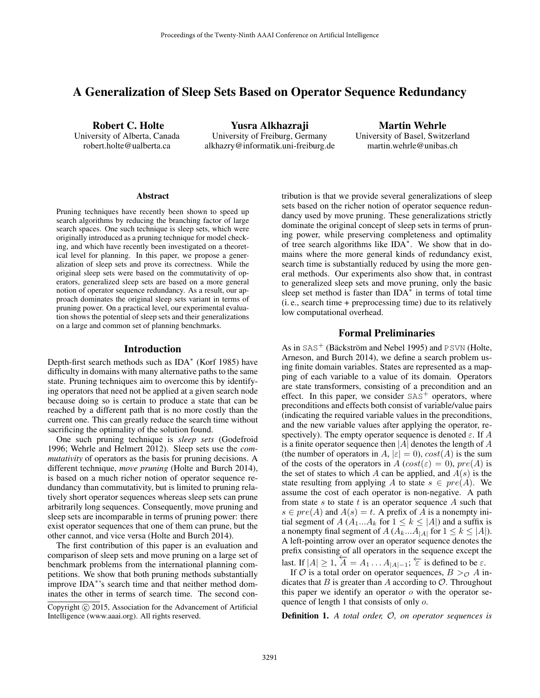# A Generalization of Sleep Sets Based on Operator Sequence Redundancy

Robert C. Holte University of Alberta, Canada robert.holte@ualberta.ca

Yusra Alkhazraji University of Freiburg, Germany alkhazry@informatik.uni-freiburg.de

Martin Wehrle University of Basel, Switzerland martin.wehrle@unibas.ch

#### **Abstract**

Pruning techniques have recently been shown to speed up search algorithms by reducing the branching factor of large search spaces. One such technique is sleep sets, which were originally introduced as a pruning technique for model checking, and which have recently been investigated on a theoretical level for planning. In this paper, we propose a generalization of sleep sets and prove its correctness. While the original sleep sets were based on the commutativity of operators, generalized sleep sets are based on a more general notion of operator sequence redundancy. As a result, our approach dominates the original sleep sets variant in terms of pruning power. On a practical level, our experimental evaluation shows the potential of sleep sets and their generalizations on a large and common set of planning benchmarks.

#### Introduction

Depth-first search methods such as IDA<sup>∗</sup> (Korf 1985) have difficulty in domains with many alternative paths to the same state. Pruning techniques aim to overcome this by identifying operators that need not be applied at a given search node because doing so is certain to produce a state that can be reached by a different path that is no more costly than the current one. This can greatly reduce the search time without sacrificing the optimality of the solution found.

One such pruning technique is *sleep sets* (Godefroid 1996; Wehrle and Helmert 2012). Sleep sets use the *commutativity* of operators as the basis for pruning decisions. A different technique, *move pruning* (Holte and Burch 2014), is based on a much richer notion of operator sequence redundancy than commutativity, but is limited to pruning relatively short operator sequences whereas sleep sets can prune arbitrarily long sequences. Consequently, move pruning and sleep sets are incomparable in terms of pruning power: there exist operator sequences that one of them can prune, but the other cannot, and vice versa (Holte and Burch 2014).

The first contribution of this paper is an evaluation and comparison of sleep sets and move pruning on a large set of benchmark problems from the international planning competitions. We show that both pruning methods substantially improve IDA<sup>\*</sup>'s search time and that neither method dominates the other in terms of search time. The second contribution is that we provide several generalizations of sleep sets based on the richer notion of operator sequence redundancy used by move pruning. These generalizations strictly dominate the original concept of sleep sets in terms of pruning power, while preserving completeness and optimality of tree search algorithms like IDA<sup>∗</sup> . We show that in domains where the more general kinds of redundancy exist, search time is substantially reduced by using the more general methods. Our experiments also show that, in contrast to generalized sleep sets and move pruning, only the basic sleep set method is faster than  $IDA^*$  in terms of total time (i. e., search time + preprocessing time) due to its relatively low computational overhead.

# Formal Preliminaries

As in  $SAS^+$  (Bäckström and Nebel 1995) and PSVN (Holte, Arneson, and Burch 2014), we define a search problem using finite domain variables. States are represented as a mapping of each variable to a value of its domain. Operators are state transformers, consisting of a precondition and an effect. In this paper, we consider  $SAS<sup>+</sup>$  operators, where preconditions and effects both consist of variable/value pairs (indicating the required variable values in the preconditions, and the new variable values after applying the operator, respectively). The empty operator sequence is denoted  $\varepsilon$ . If A is a finite operator sequence then  $|A|$  denotes the length of A (the number of operators in A,  $|\varepsilon| = 0$ ),  $cost(A)$  is the sum of the costs of the operators in A  $(cost(\varepsilon) = 0)$ ,  $pre(A)$  is the set of states to which A can be applied, and  $A(s)$  is the state resulting from applying A to state  $s \in pre(A)$ . We assume the cost of each operator is non-negative. A path from state s to state t is an operator sequence A such that  $s \in pre(A)$  and  $A(s) = t$ . A prefix of A is a nonempty initial segment of  $A(A_1...A_k$  for  $1 \leq k \leq |A|$ ) and a suffix is a nonempty final segment of  $A$  ( $A_k...A_{|A|}$  for  $1 \leq k \leq |A|$ ). A left-pointing arrow over an operator sequence denotes the prefix consisting of all operators in the sequence except the last. If  $|A| \geq 1$ ,  $\overline{A} = A_1 \dots A_{|A|-1}$ ;  $\overleftarrow{\varepsilon}$  is defined to be  $\varepsilon$ .

If O is a total order on operator sequences,  $B >_{\mathcal{O}} A$  indicates that  $B$  is greater than  $A$  according to  $O$ . Throughout this paper we identify an operator  $o$  with the operator sequence of length 1 that consists of only o.

Definition 1. *A total order,* O*, on operator sequences is*

Copyright (c) 2015, Association for the Advancement of Artificial Intelligence (www.aaai.org). All rights reserved.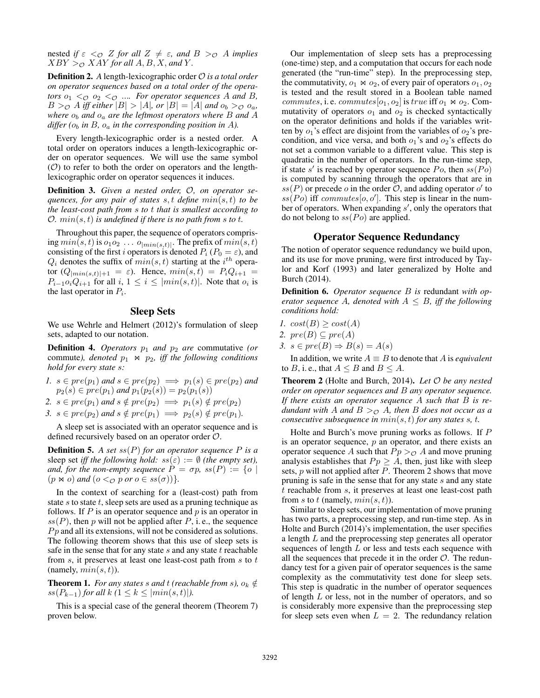nested *if*  $\epsilon <_{\mathcal{O}} Z$  *for all*  $Z \neq \epsilon$ *, and*  $B >_{\mathcal{O}} A$  *implies*  $XBY >_{\mathcal{O}} XAY$  for all  $A, B, X$ , and Y.

**Definition 2.** A length-lexicographic order  $\mathcal{O}$  *is a total order on operator sequences based on a total order of the operators*  $o_1 < o_2 < o_3$  .... *For operator sequences* A *and* B,  $B >_{\mathcal{O}} A$  *iff either*  $|B| > |A|$ *, or*  $|B| = |A|$  *and*  $o_b >_{\mathcal{O}} o_a$ *, where*  $o_b$  *and*  $o_a$  *are the leftmost operators where B and A differ* ( $o_b$  *in* B,  $o_a$  *in the corresponding position in A*).

Every length-lexicographic order is a nested order. A total order on operators induces a length-lexicographic order on operator sequences. We will use the same symbol  $(\mathcal{O})$  to refer to both the order on operators and the lengthlexicographic order on operator sequences it induces.

Definition 3. *Given a nested order,* O*, on operator sequences, for any pair of states* s, t *define* min(s, t) *to be the least-cost path from* s *to* t *that is smallest according to*  $\mathcal{O}$ *.*  $min(s, t)$  *is undefined if there is no path from s to t.* 

Throughout this paper, the sequence of operators comprising  $min(s, t)$  is  $o_1 o_2 \dots o_{|min(s,t)|}$ . The prefix of  $min(s, t)$ consisting of the first i operators is denoted  $P_i$  ( $P_0 = \varepsilon$ ), and  $Q_i$  denotes the suffix of  $min(s, t)$  starting at the  $i^{th}$  operator  $(Q_{\lfloor min(s,t)\rfloor+1} = \varepsilon)$ . Hence,  $min(s,t) = P_i Q_{i+1}$  $P_{i-1}o_iQ_{i+1}$  for all  $i, 1 \leq i \leq |min(s, t)|$ . Note that  $o_i$  is the last operator in  $P_i$ .

## Sleep Sets

We use Wehrle and Helmert (2012)'s formulation of sleep sets, adapted to our notation.

**Definition 4.** *Operators*  $p_1$  *and*  $p_2$  *are* commutative (*or* commute), denoted  $p_1 \Join p_2$ , iff the following conditions *hold for every state* s*:*

*1.*  $s \in pre(p_1)$  *and*  $s \in pre(p_2) \implies p_1(s) \in pre(p_2)$  *and*  $p_2(s) \in pre(p_1)$  and  $p_1(p_2(s)) = p_2(p_1(s))$ 

2. 
$$
s \in pre(p_1)
$$
 and  $s \notin pre(p_2) \implies p_1(s) \notin pre(p_2)$ 

3.  $s \in pre(p_2)$  and  $s \notin pre(p_1) \implies p_2(s) \notin pre(p_1)$ *.* 

A sleep set is associated with an operator sequence and is defined recursively based on an operator order O.

Definition 5. *A set* ss(P) *for an operator sequence* P *is a* sleep set *iff the following hold:*  $ss(\varepsilon) := \emptyset$  *(the empty set), and, for the non-empty sequence*  $P = \sigma p$ ,  $ss(P) := \{o \mid$  $(p \Join o)$  *and*  $(o <_{\mathcal{O}} p \text{ or } o \in \text{ss}(\sigma))$ *}*.

In the context of searching for a (least-cost) path from state s to state t, sleep sets are used as a pruning technique as follows. If  $P$  is an operator sequence and  $p$  is an operator in  $ss(P)$ , then p will not be applied after P, i.e., the sequence  $P<sub>p</sub>$  and all its extensions, will not be considered as solutions. The following theorem shows that this use of sleep sets is safe in the sense that for any state  $s$  and any state  $t$  reachable from  $s$ , it preserves at least one least-cost path from  $s$  to  $t$ (namely,  $min(s, t)$ ).

**Theorem 1.** *For any states s and t (reachable from s),*  $o_k \notin$  $ss(P_{k-1})$  *for all*  $k$  *(*1  $\leq k \leq |min(s,t)|$ ).

This is a special case of the general theorem (Theorem 7) proven below.

Our implementation of sleep sets has a preprocessing (one-time) step, and a computation that occurs for each node generated (the "run-time" step). In the preprocessing step, the commutativity,  $o_1 \bowtie o_2$ , of every pair of operators  $o_1, o_2$ is tested and the result stored in a Boolean table named commutes, i. e. commutes  $[o_1, o_2]$  is true iff  $o_1 \bowtie o_2$ . Commutativity of operators  $o_1$  and  $o_2$  is checked syntactically on the operator definitions and holds if the variables written by  $o_1$ 's effect are disjoint from the variables of  $o_2$ 's precondition, and vice versa, and both  $o_1$ 's and  $o_2$ 's effects do not set a common variable to a different value. This step is quadratic in the number of operators. In the run-time step, if state s' is reached by operator sequence  $Po$ , then  $ss(Po)$ is computed by scanning through the operators that are in  $ss(P)$  or precede o in the order O, and adding operator o' to  $ss(\overrightarrow{Po})$  iff commutes [o, o']. This step is linear in the number of operators. When expanding  $s'$ , only the operators that do not belong to  $ss(P<sub>o</sub>)$  are applied.

## Operator Sequence Redundancy

The notion of operator sequence redundancy we build upon, and its use for move pruning, were first introduced by Taylor and Korf (1993) and later generalized by Holte and Burch (2014).

Definition 6. *Operator sequence* B *is* redundant *with operator sequence* A, denoted with  $A \leq B$ , iff the following *conditions hold:*

- *1.*  $cost(B) \geq cost(A)$
- 2.  $pre(B) \subseteq pre(A)$
- 3.  $s \in pre(B) \Rightarrow B(s) = A(s)$

In addition, we write  $A \equiv B$  to denote that A is *equivalent* to B, i. e., that  $A \leq B$  and  $B \leq A$ .

Theorem 2 (Holte and Burch, 2014). *Let* O *be any nested order on operator sequences and* B *any operator sequence. If there exists an operator sequence* A *such that* B *is redundant with* A *and*  $B >_{\mathcal{O}} A$ *, then* B *does not occur as a consecutive subsequence in* min(s, t) *for any states* s*,* t*.*

Holte and Burch's move pruning works as follows. If P is an operator sequence,  $p$  an operator, and there exists an operator sequence A such that  $P_p >_{\mathcal{O}} A$  and move pruning analysis establishes that  $P_p \geq A$ , then, just like with sleep sets, p will not applied after P. Theorem 2 shows that move pruning is safe in the sense that for any state  $s$  and any state t reachable from s, it preserves at least one least-cost path from s to t (namely,  $min(s, t)$ ).

Similar to sleep sets, our implementation of move pruning has two parts, a preprocessing step, and run-time step. As in Holte and Burch (2014)'s implementation, the user specifies a length L and the preprocessing step generates all operator sequences of length  $L$  or less and tests each sequence with all the sequences that precede it in the order  $\mathcal{O}$ . The redundancy test for a given pair of operator sequences is the same complexity as the commutativity test done for sleep sets. This step is quadratic in the number of operator sequences of length  $L$  or less, not in the number of operators, and so is considerably more expensive than the preprocessing step for sleep sets even when  $L = 2$ . The redundancy relation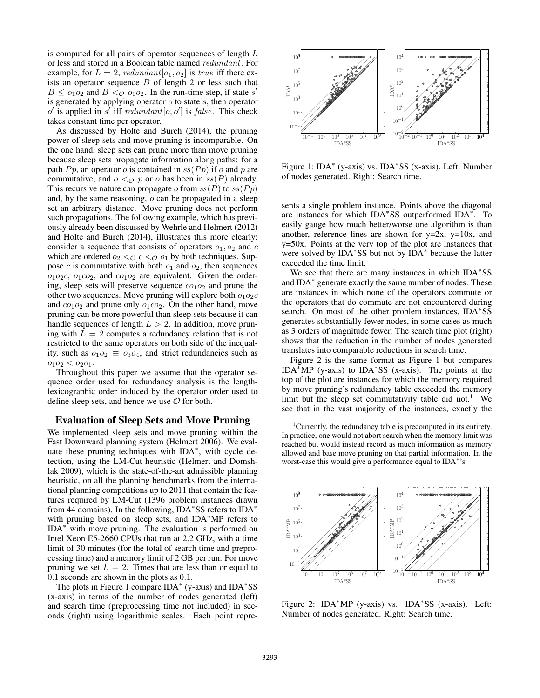is computed for all pairs of operator sequences of length L or less and stored in a Boolean table named redundant. For example, for  $L = 2$ , redundant  $[o_1, o_2]$  is true iff there exists an operator sequence  $B$  of length 2 or less such that  $B \le o_1 o_2$  and  $B < o_1 o_2$ . In the run-time step, if state s' is generated by applying operator  $o$  to state  $s$ , then operator  $o'$  is applied in  $s'$  iff redundant  $[o, o']$  is false. This check takes constant time per operator.

As discussed by Holte and Burch (2014), the pruning power of sleep sets and move pruning is incomparable. On the one hand, sleep sets can prune more than move pruning because sleep sets propagate information along paths: for a path  $P_p$ , an operator o is contained in  $ss(P_p)$  if o and p are commutative, and  $o <_{\mathcal{O}} p$  or o has been in  $ss(P)$  already. This recursive nature can propagate o from  $ss(P)$  to  $ss(Pp)$ and, by the same reasoning, o can be propagated in a sleep set an arbitrary distance. Move pruning does not perform such propagations. The following example, which has previously already been discussed by Wehrle and Helmert (2012) and Holte and Burch (2014), illustrates this more clearly: consider a sequence that consists of operators  $o_1$ ,  $o_2$  and  $c$ which are ordered  $o_2 <_{\mathcal{O}} c <_{\mathcal{O}} o_1$  by both techniques. Suppose  $c$  is commutative with both  $o_1$  and  $o_2$ , then sequences  $o_1o_2c$ ,  $o_1co_2$ , and  $co_1o_2$  are equivalent. Given the ordering, sleep sets will preserve sequence  $co<sub>1</sub>o<sub>2</sub>$  and prune the other two sequences. Move pruning will explore both  $o_1o_2c$ and  $co_1o_2$  and prune only  $o_1co_2$ . On the other hand, move pruning can be more powerful than sleep sets because it can handle sequences of length  $L > 2$ . In addition, move pruning with  $\bar{L} = 2$  computes a redundancy relation that is not restricted to the same operators on both side of the inequality, such as  $o_1o_2 \equiv o_3o_4$ , and strict redundancies such as  $o_1o_2 < o_2o_1$ .

Throughout this paper we assume that the operator sequence order used for redundancy analysis is the lengthlexicographic order induced by the operator order used to define sleep sets, and hence we use  $\mathcal O$  for both.

## Evaluation of Sleep Sets and Move Pruning

We implemented sleep sets and move pruning within the Fast Downward planning system (Helmert 2006). We evaluate these pruning techniques with IDA<sup>\*</sup>, with cycle detection, using the LM-Cut heuristic (Helmert and Domshlak 2009), which is the state-of-the-art admissible planning heuristic, on all the planning benchmarks from the international planning competitions up to 2011 that contain the features required by LM-Cut (1396 problem instances drawn from 44 domains). In the following, IDA<sup>\*</sup>SS refers to IDA<sup>\*</sup> with pruning based on sleep sets, and IDA<sup>∗</sup>MP refers to IDA<sup>∗</sup> with move pruning. The evaluation is performed on Intel Xeon E5-2660 CPUs that run at 2.2 GHz, with a time limit of 30 minutes (for the total of search time and preprocessing time) and a memory limit of 2 GB per run. For move pruning we set  $L = 2$ . Times that are less than or equal to 0.1 seconds are shown in the plots as 0.1.

The plots in Figure 1 compare IDA<sup>∗</sup> (y-axis) and IDA<sup>∗</sup> SS (x-axis) in terms of the number of nodes generated (left) and search time (preprocessing time not included) in seconds (right) using logarithmic scales. Each point repre-



Figure 1: IDA<sup>∗</sup> (y-axis) vs. IDA<sup>∗</sup> SS (x-axis). Left: Number of nodes generated. Right: Search time.

sents a single problem instance. Points above the diagonal are instances for which IDA<sup>∗</sup> SS outperformed IDA<sup>∗</sup> . To easily gauge how much better/worse one algorithm is than another, reference lines are shown for  $y=2x$ ,  $y=10x$ , and y=50x. Points at the very top of the plot are instances that were solved by IDA<sup>∗</sup> SS but not by IDA<sup>∗</sup> because the latter exceeded the time limit.

We see that there are many instances in which IDA\*SS and IDA<sup>\*</sup> generate exactly the same number of nodes. These are instances in which none of the operators commute or the operators that do commute are not encountered during search. On most of the other problem instances, IDA\*SS generates substantially fewer nodes, in some cases as much as 3 orders of magnitude fewer. The search time plot (right) shows that the reduction in the number of nodes generated translates into comparable reductions in search time.

Figure 2 is the same format as Figure 1 but compares IDA<sup>∗</sup>MP (y-axis) to IDA<sup>∗</sup> SS (x-axis). The points at the top of the plot are instances for which the memory required by move pruning's redundancy table exceeded the memory limit but the sleep set commutativity table did not.<sup>1</sup> We see that in the vast majority of the instances, exactly the

<sup>&</sup>lt;sup>1</sup>Currently, the redundancy table is precomputed in its entirety. In practice, one would not abort search when the memory limit was reached but would instead record as much information as memory allowed and base move pruning on that partial information. In the worst-case this would give a performance equal to IDA<sup>\*</sup>'s.



Figure 2: IDA<sup>∗</sup>MP (y-axis) vs. IDA<sup>∗</sup> SS (x-axis). Left: Number of nodes generated. Right: Search time.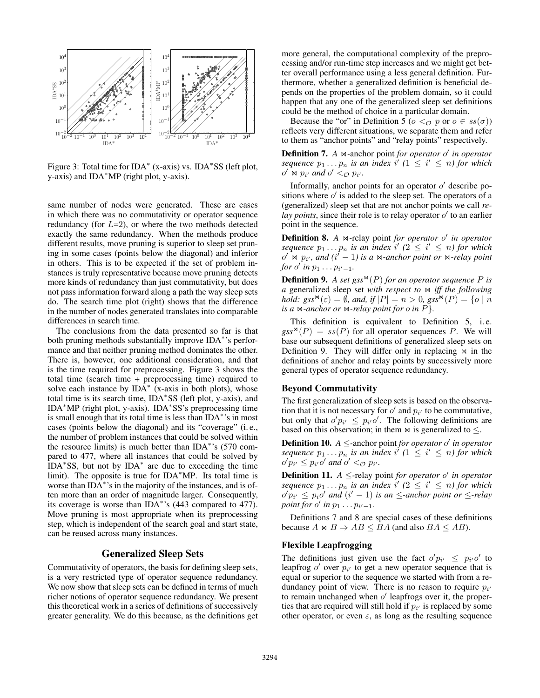

Figure 3: Total time for IDA<sup>∗</sup> (x-axis) vs. IDA<sup>∗</sup> SS (left plot, y-axis) and IDA<sup>∗</sup>MP (right plot, y-axis).

same number of nodes were generated. These are cases in which there was no commutativity or operator sequence redundancy (for  $L=2$ ), or where the two methods detected exactly the same redundancy. When the methods produce different results, move pruning is superior to sleep set pruning in some cases (points below the diagonal) and inferior in others. This is to be expected if the set of problem instances is truly representative because move pruning detects more kinds of redundancy than just commutativity, but does not pass information forward along a path the way sleep sets do. The search time plot (right) shows that the difference in the number of nodes generated translates into comparable differences in search time.

The conclusions from the data presented so far is that both pruning methods substantially improve IDA<sup>∗</sup> 's performance and that neither pruning method dominates the other. There is, however, one additional consideration, and that is the time required for preprocessing. Figure 3 shows the total time (search time + preprocessing time) required to solve each instance by  $IDA^*$  (x-axis in both plots), whose total time is its search time, IDA<sup>∗</sup> SS (left plot, y-axis), and IDA<sup>∗</sup>MP (right plot, y-axis). IDA<sup>∗</sup> SS's preprocessing time is small enough that its total time is less than IDA<sup>∗</sup> 's in most cases (points below the diagonal) and its "coverage" (i. e., the number of problem instances that could be solved within the resource limits) is much better than IDA<sup>∗</sup> 's (570 compared to 477, where all instances that could be solved by IDA<sup>∗</sup> SS, but not by IDA<sup>∗</sup> are due to exceeding the time limit). The opposite is true for IDA<sup>∗</sup>MP. Its total time is worse than IDA<sup>\*</sup>'s in the majority of the instances, and is often more than an order of magnitude larger. Consequently, its coverage is worse than IDA<sup>∗</sup> 's (443 compared to 477). Move pruning is most appropriate when its preprocessing step, which is independent of the search goal and start state, can be reused across many instances.

# Generalized Sleep Sets

Commutativity of operators, the basis for defining sleep sets, is a very restricted type of operator sequence redundancy. We now show that sleep sets can be defined in terms of much richer notions of operator sequence redundancy. We present this theoretical work in a series of definitions of successively greater generality. We do this because, as the definitions get

more general, the computational complexity of the preprocessing and/or run-time step increases and we might get better overall performance using a less general definition. Furthermore, whether a generalized definition is beneficial depends on the properties of the problem domain, so it could happen that any one of the generalized sleep set definitions could be the method of choice in a particular domain.

Because the "or" in Definition 5 ( $o <_{\mathcal{O}} p$  or  $o \in ss(\sigma)$ ) reflects very different situations, we separate them and refer to them as "anchor points" and "relay points" respectively.

Definition 7. A  $\bowtie$ -anchor point *for operator o' in operator sequence*  $p_1 \ldots p_n$  *is an index*  $i'$   $(1 \leq i' \leq n)$  for which  $o'$  is  $p_{i'}$  and  $o' <_{\mathcal{O}} p_{i'}$ .

Informally, anchor points for an operator  $o'$  describe positions where  $o'$  is added to the sleep set. The operators of a (generalized) sleep set that are not anchor points we call *re*lay points, since their role is to relay operator  $o'$  to an earlier point in the sequence.

**Definition 8.** A  $\bowtie$ -relay point *for operator o' in operator*  $sequence p_1 \ldots p_n$  *is an index*  $i'$  ( $2 \le i' \le n$ ) for which  $o' \bowtie p_i$ , and  $(i'-1)$  *is a*  $\bowtie$ -anchor point or  $\bowtie$ -relay point *for*  $o'$  *in*  $p_1 \ldots p_{i'-1}$ *.* 

**Definition 9.** A set gss<sup> $\mathbf{\alpha}(P)$  for an operator sequence P is</sup> *a* generalized sleep set *with respect to*  $\bowtie$  *iff the following hold:*  $gss^{\bowtie}(\varepsilon) = \emptyset$ *, and, if*  $|P| = n > 0$ ,  $gss^{\bowtie}(P) = \{o \mid n$ *is a*  $\bowtie$ *-anchor or*  $\bowtie$ *-relay point for o in P*}.

This definition is equivalent to Definition 5, i. e.  $gss^{\bowtie}(P) = ss(P)$  for all operator sequences P. We will base our subsequent definitions of generalized sleep sets on Definition 9. They will differ only in replacing  $\bowtie$  in the definitions of anchor and relay points by successively more general types of operator sequence redundancy.

#### Beyond Commutativity

The first generalization of sleep sets is based on the observation that it is not necessary for  $o'$  and  $p_{i'}$  to be commutative, but only that  $o'p_{i'} \leq p_{i'}o'$ . The following definitions are based on this observation; in them  $\bowtie$  is generalized to  $\leq$ .

Definition 10. *A* ≤*-*anchor point *for operator* o 0 *in operator sequence*  $p_1 \tildot p_n$  *is an index*  $i^{\prime}$  ( $1 \leq i^{\prime} \leq n$ ) for which  $o'p_{i'} \leq p_{i'}o'$  and  $o' <_{\mathcal{O}} p_{i'}$ .

**Definition 11.**  $A \leq$ -relay point *for operator*  $o'$  *in operator sequence*  $p_1 \tildot p_n$  *is an index* i'  $(2 \leq i' \leq n)$  for which  $o'p_{i'} \leq p_{i}o'$  and  $(i'-1)$  is an  $\leq$ -anchor point or  $\leq$ -relay *point for*  $o'$  *in*  $p_1 \ldots p_{i'-1}$ *.* 

Definitions 7 and 8 are special cases of these definitions because  $A \bowtie B \Rightarrow AB \leq BA$  (and also  $BA \leq AB$ ).

#### Flexible Leapfrogging

The definitions just given use the fact  $o'p_{i'} \leq p_{i'}o'$  to leapfrog  $o'$  over  $p_{i'}$  to get a new operator sequence that is equal or superior to the sequence we started with from a redundancy point of view. There is no reason to require  $p_i$ to remain unchanged when  $o'$  leapfrogs over it, the properties that are required will still hold if  $p_i$  is replaced by some other operator, or even  $\varepsilon$ , as long as the resulting sequence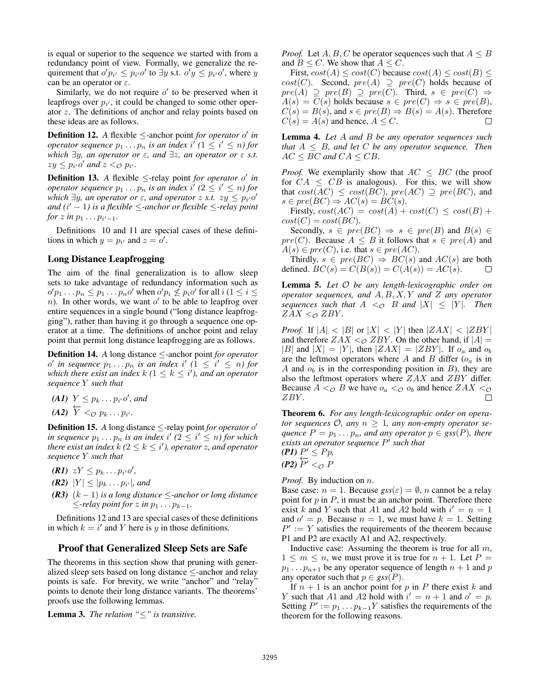is equal or superior to the sequence we started with from a redundancy point of view. Formally, we generalize the requirement that  $o'p_{i'} \leq p_{i'}o'$  to  $\exists y$  s.t.  $o'y \leq p_{i'}o'$ , where y can be an operator or  $\varepsilon$ .

Similarly, we do not require  $o'$  to be preserved when it leapfrogs over  $p_{i'}$ , it could be changed to some other operator z. The definitions of anchor and relay points based on these ideas are as follows.

**Definition 12.** *A* flexible  $\leq$ -anchor point *for operator* o' *in operator sequence*  $p_1 \ldots p_n$  *is an index*  $i^{\prime}$  ( $1 \leq i^{\prime} \leq n$ ) for *which* ∃y*, an operator or* ε*, and* ∃z*, an operator or* ε *s.t.*  $zy \leq p_{i'}o'$  and  $z <_{\mathcal{O}} p_{i'}$ .

**Definition 13.** *A* flexible  $\leq$ -relay point *for operator* o' *in operator sequence*  $p_1 \ldots p_n$  *is an index*  $i'$   $(2 \leq i' \leq n)$  for *which*  $\exists y$ *, an operator or*  $\varepsilon$ *, and operator z s.t.*  $zy \leq p_{i'}o'$ *and (*i <sup>0</sup> <sup>−</sup> <sup>1</sup>*) is a flexible* <sup>≤</sup>*-anchor or flexible* <sup>≤</sup>*-relay point for*  $z$  *in*  $p_1 \ldots p_{i'-1}$ *.* 

Definitions 10 and 11 are special cases of these definitions in which  $y = p_{i'}$  and  $z = o'$ .

# Long Distance Leapfrogging

The aim of the final generalization is to allow sleep sets to take advantage of redundancy information such as  $o'p_1 \tldots p_n \leq p_1 \tldots p_n o'$  when  $o'p_i \nleq p_i o'$  for all  $i (1 \leq i \leq n)$  $n$ ). In other words, we want  $o'$  to be able to leapfrog over entire sequences in a single bound ("long distance leapfrogging"), rather than having it go through a sequence one operator at a time. The definitions of anchor point and relay point that permit long distance leapfrogging are as follows.

Definition 14. *A* long distance ≤*-*anchor point *for operator*  $o'$  in sequence  $p_1 \tildes p_n$  is an index i'  $(1 \leq i' \leq n)$  for *which there exist an index*  $k$  ( $1 \leq k \leq i'$ ), and an operator *sequence* Y *such that*

*(A1)*  $Y \leq p_k ... p_{i'} o'$ , and  $(A2) \overleftarrow{Y} <_{\mathcal{O}} p_k \ldots p_{i'}.$ 

**Definition 15.** *A* long distance  $\leq$ -relay point *for operator* of *in sequence*  $p_1 \t ... p_n$  *is an index i'*  $(2 \leq i' \leq n)$  *for which there exist an index*  $k$  ( $2 \leq k \leq i'$ ), operator  $z$ , and operator *sequence* Y *such that*

- *(R1)*  $zY \leq p_k ... p_{i'}o'$ ,
- *(R2)*  $|Y| \leq |p_k ... p_{i'}|$ , and
- *(R3)* (k − 1) *is a long distance* ≤*-anchor or long distance*  $\le$ *-relay point for* z *in*  $p_1 \ldots p_{k-1}$ *.*

Definitions 12 and 13 are special cases of these definitions in which  $k = i'$  and Y here is y in those definitions.

# Proof that Generalized Sleep Sets are Safe

The theorems in this section show that pruning with generalized sleep sets based on long distance ≤-anchor and relay points is safe. For brevity, we write "anchor" and "relay" points to denote their long distance variants. The theorems' proofs use the following lemmas.

Lemma 3. *The relation "*≤*" is transitive.*

*Proof.* Let  $A, B, C$  be operator sequences such that  $A \leq B$ and  $B \leq C$ . We show that  $A \leq C$ .

First,  $cost(A) \leq cost(C)$  because  $cost(A) \leq cost(B) \leq$  $cost(C)$ . Second,  $pre(A) \supseteq pre(C)$  holds because of  $pre(A) \supseteq pre(B) \supseteq pre(C)$ . Third,  $s \in pre(C) \Rightarrow$  $A(s) = \overline{C(s)}$  holds because  $s \in pre(C) \Rightarrow s \in pre(B)$ ,  $C(s) = B(s)$ , and  $s \in pre(B) \Rightarrow B(s) = A(s)$ . Therefore  $C(s) = A(s)$  and hence,  $A \leq C$ .

Lemma 4. *Let* A *and* B *be any operator sequences such that* A ≤ B*, and let* C *be any operator sequence. Then*  $AC \le BC$  and  $CA \le CB$ .

*Proof.* We exemplarily show that  $AC \le BC$  (the proof for  $CA \leq CB$  is analogous). For this, we will show that  $cost(AC) \leq cost(BC)$ ,  $pre(AC) \supseteq pre(BC)$ , and  $s \in pre(BC) \Rightarrow AC(s) = BC(s).$ 

Firstly,  $cost(AC) = cost(A) + cost(C) \leq cost(B) +$  $cost(C) = cost(BC).$ 

Secondly,  $s \in pre(BC) \Rightarrow s \in pre(B)$  and  $B(s) \in$  $pre(C)$ . Because  $A \leq B$  it follows that  $s \in pre(A)$  and  $A(s) \in pre(C)$ , i.e. that  $s \in pre(AC)$ .

Thirdly,  $s \in pre(BC) \Rightarrow BC(s)$  and  $AC(s)$  are both fined  $BC(s) = C(B(s)) = C(A(s)) = AC(s)$ defined.  $BC(s) = C(B(s)) = C(A(s)) = AC(s)$ .

Lemma 5. *Let* O *be any length-lexicographic order on operator sequences, and* A, B, X, Y *and* Z *any operator sequences such that*  $A \leq_{\mathcal{O}} B$  *and*  $|X| \leq |Y|$ *. Then*  $ZAX <sub>CD</sub> ZBY$ *.* 

*Proof.* If  $|A| < |B|$  or  $|X| < |Y|$  then  $|ZAX| < |ZBY|$ and therefore  $ZAX <sub>0</sub> ZBY$ . On the other hand, if  $|A| =$ |B| and  $|X| = |Y|$ , then  $|ZAX| = |ZBY|$ . If  $o_a$  and  $o_b$ are the leftmost operators where  $A$  and  $B$  differ  $(o<sub>a</sub>$  is in A and  $o<sub>b</sub>$  is in the corresponding position in B), they are also the leftmost operators where ZAX and ZBY differ. Because  $A <_{\mathcal{O}} B$  we have  $o_a <_{\mathcal{O}} o_b$  and hence  $ZAX <_{\mathcal{O}}$ ZBY . П

Theorem 6. *For any length-lexicographic order on operator sequences*  $\mathcal{O}$ *, any*  $n \geq 1$ *, any non-empty operator sequence*  $P = p_1 \dots p_n$ *, and any operator*  $p \in \text{gss}(P)$ *, there exists an operator sequence* P 0 *such that*

 $(PI) P' \leq Pp$ *(P2)*  $\overleftarrow{P'}$  < *⊙ P* 

*Proof.* By induction on *n*.

Base case:  $n = 1$ . Because  $gss(\varepsilon) = \emptyset$ , *n* cannot be a relay point for  $p$  in  $P$ , it must be an anchor point. Therefore there exist k and Y such that A1 and A2 hold with  $i' = n = 1$ and  $o' = p$ . Because  $n = 1$ , we must have  $k = 1$ . Setting  $P' := Y$  satisfies the requirements of the theorem because P1 and P2 are exactly A1 and A2, respectively.

Inductive case: Assuming the theorem is true for all  $m$ ,  $1 \leq m \leq n$ , we must prove it is true for  $n + 1$ . Let  $P =$  $p_1 \ldots p_{n+1}$  be any operator sequence of length  $n+1$  and p any operator such that  $p \in gss(P)$ .

If  $n + 1$  is an anchor point for p in P there exist k and Y such that A1 and A2 hold with  $i' = n + 1$  and  $o' = p$ . Setting  $P' := p_1 \dots p_{k-1} Y$  satisfies the requirements of the theorem for the following reasons.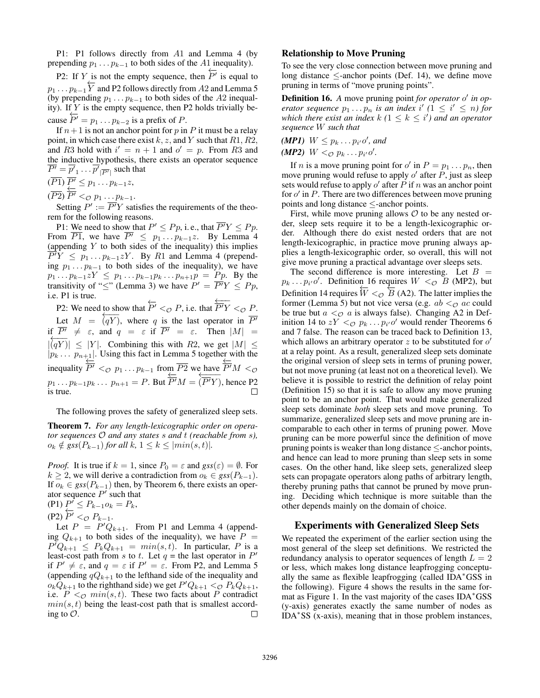P1: P1 follows directly from A1 and Lemma 4 (by prepending  $p_1 \nldots p_{k-1}$  to both sides of the A1 inequality).

P2: If Y is not the empty sequence, then  $\overleftarrow{P'}$  is equal to  $p_1 \dots p_{k-1} \overleftarrow{Y}$  and P2 follows directly from A2 and Lemma 5 (by prepending  $p_1 \t ... p_{k-1}$  to both sides of the A2 inequality). If  $Y$  is the empty sequence, then P2 holds trivially because  $\overleftarrow{P'} = p_1 \dots p_{k-2}$  is a prefix of P.

If  $n+1$  is not an anchor point for p in P it must be a relay point, in which case there exist k, z, and Y such that  $R1, R2$ , and R3 hold with  $i' = n + 1$  and  $o' = p$ . From R3 and the inductive hypothesis, there exists an operator sequence  $\overline{P'} = \overline{p'}_1 \dots \overline{p'}_{|\overline{P'}|}$  such that

$$
(\overline{P1})\ \overline{P'} \leq p_1 \dots p_{k-1}z,
$$

 $\overline{(P2)} \, \overline{\overline{P'}} \, <_{\mathcal{O}} p_1 \ldots p_{k-1}.$ 

Setting  $P' := \overline{P'}Y$  satisfies the requirements of the theorem for the following reasons.

P1: We need to show that  $P' \leq Pp$ , i. e., that  $\overline{P'Y} \leq Pp$ . From  $\overline{P1}$ , we have  $\overline{P'} \le \overline{p_1 \dots p_{k-1} z}$ . By Lemma 4 (appending  $Y$  to both sides of the inequality) this implies  $\overline{P}^{\prime}Y \leq p_1 \dots p_{k-1}zY$ . By R1 and Lemma 4 (prepending  $p_1 \t ... p_{k-1}$  to both sides of the inequality), we have  $p_1 \dots p_{k-1} zY \leq p_1 \dots p_{k-1} p_k \dots p_{n+1} p = P p$ . By the transitivity of " $\leq$ " (Lemma 3) we have  $P' = \overline{P'}Y \leq Pp$ , i.e. P1 is true.

P2: We need to show that  $\overleftarrow{P'} <_{\mathcal{O}} P$ , i.e. that  $\overleftarrow{P'}Y <_{\mathcal{O}} P$ . Let  $M = \overline{(qY)}$ , where q is the last operator in  $\overline{P'}$ if  $\overline{P'} \neq \varepsilon$ , and  $q = \varepsilon$  if  $\overline{P'} = \varepsilon$ . Then  $|M|$  =  $|\overline{(qY)}| \leq |Y|$ . Combining this with R2, we get  $|M| \leq$  $|p_k \dots p_{n+1}|$ . Using this fact in Lemma 5 together with the inequality  $\overleftarrow{P'} \leq_{\mathcal{O}} p_1 \dots p_{k-1}$  from  $\overline{P2}$  we have  $\overleftarrow{P'}M \leq_{\mathcal{O}}$  $p_1 \dots p_{k-1} p_k \dots p_{n+1} = P$ . But  $\overleftarrow{P'}M = \overleftarrow{P'}Y$ , hence P2 is true.  $\Box$ 

The following proves the safety of generalized sleep sets.

Theorem 7. *For any length-lexicographic order on operator sequences* O *and any states* s *and* t *(reachable from* s*),*  $o_k \notin gss(P_{k-1})$  *for all*  $k, 1 \leq k \leq |min(s, t)|$ *.* 

*Proof.* It is true if  $k = 1$ , since  $P_0 = \varepsilon$  and  $gss(\varepsilon) = \emptyset$ . For  $k$  ≥ 2, we will derive a contradiction from  $o_k$  ∈  $gss(P_{k-1})$ . If  $o_k$  ∈ *gss*( $P_{k-1}$ ) then, by Theorem 6, there exists an operator sequence  $P'$  such that  $(P1) P^f \leq P_{k-1} o_k = P_k,$ 

(P2)  $\overleftarrow{P'} <_{\mathcal{O}} P_{k-1}.$ 

Let  $P = P'Q_{k+1}$ . From P1 and Lemma 4 (appending  $Q_{k+1}$  to both sides of the inequality), we have  $P =$  $P^{T}Q_{k+1} \leq P_{k}Q_{k+1} = min(s,t)$ . In particular, P is a least-cost path from s to t. Let  $q =$  the last operator in  $P'$ if  $P' \neq \varepsilon$ , and  $q = \varepsilon$  if  $P' = \varepsilon$ . From P2, and Lemma 5 (appending  $qQ_{k+1}$  to the lefthand side of the inequality and  $o_k \overline{Q}_{k+1}$  to the righthand side) we get  $P'Q_{k+1} <_Q P_k \overline{Q}_{k+1}$ , i.e.  $P \leq_{\mathcal{O}} min(s, t)$ . These two facts about P contradict  $min(s, t)$  being the least-cost path that is smallest according to  $\mathcal{O}$ . П

#### Relationship to Move Pruning

To see the very close connection between move pruning and long distance  $\leq$ -anchor points (Def. 14), we define move pruning in terms of "move pruning points".

Definition 16. A move pruning point *for operator* o' in op*erator sequence*  $p_1 \t ... \t p_n$  *is an index i'*  $(1 \leq i' \leq n)$  *for which there exist an index*  $k$  ( $1 \leq k \leq i'$ ) and an operator *sequence* W *such that*

*(MP1)*  $W \leq p_k \dots p_{i'} o'$ , and *(MP2)*  $W <_{\mathcal{O}} p_k ... p_{i'} o'$ .

If *n* is a move pruning point for  $o'$  in  $P = p_1 \dots p_n$ , then move pruning would refuse to apply  $o'$  after  $\overline{P}$ , just as sleep sets would refuse to apply  $o'$  after  $\overline{P}$  if  $n$  was an anchor point for  $o'$  in  $P$ . There are two differences between move pruning points and long distance ≤-anchor points.

First, while move pruning allows  $\mathcal O$  to be any nested order, sleep sets require it to be a length-lexicographic order. Although there do exist nested orders that are not length-lexicographic, in practice move pruning always applies a length-lexicographic order, so overall, this will not give move pruning a practical advantage over sleeps sets.

The second difference is more interesting. Let  $B =$  $p_k \dots p_{i'} o'$ . Definition 16 requires  $W <_{\mathcal{O}} B$  (MP2), but Definition 14 requires  $\overleftarrow{W} <_{\mathcal{O}} \overleftarrow{B}$  (A2). The latter implies the former (Lemma 5) but not vice versa (e.g.  $ab <_{\mathcal{O}} ac$  could be true but  $a <_{\mathcal{O}} a$  is always false). Changing A2 in Definition 14 to  $zY <sub>0</sub> p_k ... p_{i'}o'$  would render Theorems 6 and 7 false. The reason can be traced back to Definition 13, which allows an arbitrary operator  $z$  to be substituted for  $o'$ at a relay point. As a result, generalized sleep sets dominate the original version of sleep sets in terms of pruning power, but not move pruning (at least not on a theoretical level). We believe it is possible to restrict the definition of relay point (Definition 15) so that it is safe to allow any move pruning point to be an anchor point. That would make generalized sleep sets dominate *both* sleep sets and move pruning. To summarize, generalized sleep sets and move pruning are incomparable to each other in terms of pruning power. Move pruning can be more powerful since the definition of move pruning points is weaker than long distance  $\leq$ -anchor points, and hence can lead to more pruning than sleep sets in some cases. On the other hand, like sleep sets, generalized sleep sets can propagate operators along paths of arbitrary length, thereby pruning paths that cannot be pruned by move pruning. Deciding which technique is more suitable than the other depends mainly on the domain of choice.

#### Experiments with Generalized Sleep Sets

We repeated the experiment of the earlier section using the most general of the sleep set definitions. We restricted the redundancy analysis to operator sequences of length  $L = 2$ or less, which makes long distance leapfrogging conceptually the same as flexible leapfrogging (called IDA<sup>∗</sup>GSS in the following). Figure 4 shows the results in the same format as Figure 1. In the vast majority of the cases IDA<sup>∗</sup>GSS (y-axis) generates exactly the same number of nodes as IDA<sup>∗</sup> SS (x-axis), meaning that in those problem instances,